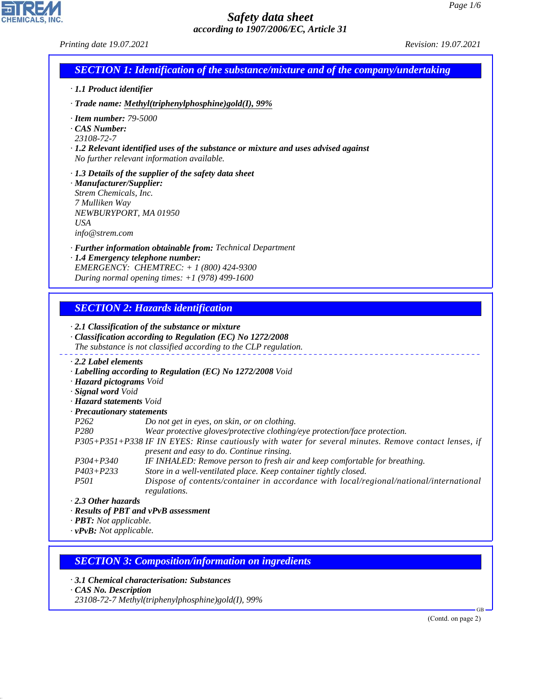|                                                   | <b>SECTION 1: Identification of the substance/mixture and of the company/undertaking</b>                                                                       |  |
|---------------------------------------------------|----------------------------------------------------------------------------------------------------------------------------------------------------------------|--|
|                                                   |                                                                                                                                                                |  |
| · 1.1 Product identifier                          |                                                                                                                                                                |  |
|                                                   | · Trade name: Methyl(triphenylphosphine)gold(I), 99%                                                                                                           |  |
| $\cdot$ Item number: 79-5000<br>CAS Number:       |                                                                                                                                                                |  |
| 23108-72-7                                        |                                                                                                                                                                |  |
|                                                   | $\cdot$ 1.2 Relevant identified uses of the substance or mixture and uses advised against                                                                      |  |
|                                                   | No further relevant information available.                                                                                                                     |  |
|                                                   | · 1.3 Details of the supplier of the safety data sheet                                                                                                         |  |
| · Manufacturer/Supplier:<br>Strem Chemicals, Inc. |                                                                                                                                                                |  |
| 7 Mulliken Way                                    |                                                                                                                                                                |  |
| NEWBURYPORT, MA 01950                             |                                                                                                                                                                |  |
| <b>USA</b>                                        |                                                                                                                                                                |  |
| info@strem.com                                    |                                                                                                                                                                |  |
|                                                   | · <b>Further information obtainable from:</b> Technical Department<br>· 1.4 Emergency telephone number:                                                        |  |
|                                                   | EMERGENCY: CHEMTREC: + 1 (800) 424-9300                                                                                                                        |  |
|                                                   | During normal opening times: $+1$ (978) 499-1600                                                                                                               |  |
|                                                   | <b>SECTION 2: Hazards identification</b><br>$\cdot$ 2.1 Classification of the substance or mixture<br>Classification according to Regulation (EC) No 1272/2008 |  |
|                                                   | The substance is not classified according to the CLP regulation.                                                                                               |  |
| 2.2 Label elements                                |                                                                                                                                                                |  |
| · Hazard pictograms Void                          | · Labelling according to Regulation (EC) No 1272/2008 Void                                                                                                     |  |
| · Signal word Void                                |                                                                                                                                                                |  |
| · Hazard statements Void                          |                                                                                                                                                                |  |
| · Precautionary statements<br>P262                |                                                                                                                                                                |  |
| P <sub>280</sub>                                  | Do not get in eyes, on skin, or on clothing.<br>Wear protective gloves/protective clothing/eye protection/face protection.                                     |  |
|                                                   | P305+P351+P338 IF IN EYES: Rinse cautiously with water for several minutes. Remove contact lenses, if                                                          |  |
| $P304 + P340$                                     | present and easy to do. Continue rinsing.                                                                                                                      |  |
| $P403 + P233$                                     | IF INHALED: Remove person to fresh air and keep comfortable for breathing.<br>Store in a well-ventilated place. Keep container tightly closed.                 |  |
| <i>P501</i>                                       | Dispose of contents/container in accordance with local/regional/national/international                                                                         |  |
| $\cdot$ 2.3 Other hazards                         | regulations.                                                                                                                                                   |  |
|                                                   | · Results of PBT and vPvB assessment                                                                                                                           |  |
| · <b>PBT</b> : Not applicable.                    |                                                                                                                                                                |  |
| $\cdot$ vPvB: Not applicable.                     |                                                                                                                                                                |  |
|                                                   |                                                                                                                                                                |  |
|                                                   | <b>SECTION 3: Composition/information on ingredients</b>                                                                                                       |  |
| CAS No. Description                               | 3.1 Chemical characterisation: Substances                                                                                                                      |  |

44.1.1

CHEMICALS, INC.

(Contd. on page 2)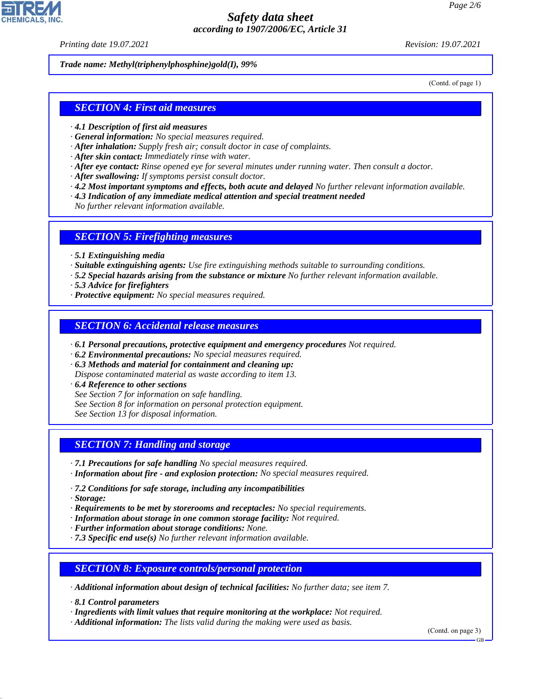*Printing date 19.07.2021 Revision: 19.07.2021*

*Trade name: Methyl(triphenylphosphine)gold(I), 99%*

(Contd. of page 1)

### *SECTION 4: First aid measures*

- *· 4.1 Description of first aid measures*
- *· General information: No special measures required.*
- *· After inhalation: Supply fresh air; consult doctor in case of complaints.*
- *· After skin contact: Immediately rinse with water.*
- *· After eye contact: Rinse opened eye for several minutes under running water. Then consult a doctor.*
- *· After swallowing: If symptoms persist consult doctor.*
- *· 4.2 Most important symptoms and effects, both acute and delayed No further relevant information available.*
- *· 4.3 Indication of any immediate medical attention and special treatment needed*
- *No further relevant information available.*

#### *SECTION 5: Firefighting measures*

- *· 5.1 Extinguishing media*
- *· Suitable extinguishing agents: Use fire extinguishing methods suitable to surrounding conditions.*
- *· 5.2 Special hazards arising from the substance or mixture No further relevant information available.*
- *· 5.3 Advice for firefighters*
- *· Protective equipment: No special measures required.*

#### *SECTION 6: Accidental release measures*

- *· 6.1 Personal precautions, protective equipment and emergency procedures Not required.*
- *· 6.2 Environmental precautions: No special measures required.*
- *· 6.3 Methods and material for containment and cleaning up:*
- *Dispose contaminated material as waste according to item 13.*
- *· 6.4 Reference to other sections*
- *See Section 7 for information on safe handling.*
- *See Section 8 for information on personal protection equipment.*
- *See Section 13 for disposal information.*

### *SECTION 7: Handling and storage*

- *· 7.1 Precautions for safe handling No special measures required.*
- *· Information about fire and explosion protection: No special measures required.*
- *· 7.2 Conditions for safe storage, including any incompatibilities*
- *· Storage:*

44.1.1

- *· Requirements to be met by storerooms and receptacles: No special requirements.*
- *· Information about storage in one common storage facility: Not required.*
- *· Further information about storage conditions: None.*
- *· 7.3 Specific end use(s) No further relevant information available.*

#### *SECTION 8: Exposure controls/personal protection*

*· Additional information about design of technical facilities: No further data; see item 7.*

*· 8.1 Control parameters*

*· Ingredients with limit values that require monitoring at the workplace: Not required.*

*· Additional information: The lists valid during the making were used as basis.*

(Contd. on page 3)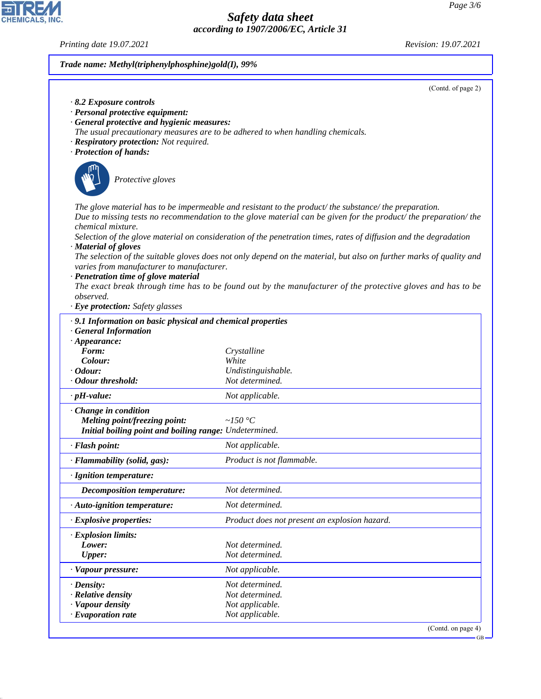GB

# *Safety data sheet according to 1907/2006/EC, Article 31*

*Printing date 19.07.2021 Revision: 19.07.2021*

CHEMICALS, INC.

44.1.1

# *Trade name: Methyl(triphenylphosphine)gold(I), 99%*

|                                                                   | (Contd. of page 2)                                                                                                  |
|-------------------------------------------------------------------|---------------------------------------------------------------------------------------------------------------------|
| $\cdot$ 8.2 Exposure controls<br>· Personal protective equipment: |                                                                                                                     |
| · General protective and hygienic measures:                       |                                                                                                                     |
|                                                                   | The usual precautionary measures are to be adhered to when handling chemicals.                                      |
| · Respiratory protection: Not required.                           |                                                                                                                     |
| · Protection of hands:                                            |                                                                                                                     |
|                                                                   |                                                                                                                     |
| Protective gloves                                                 |                                                                                                                     |
|                                                                   |                                                                                                                     |
|                                                                   | The glove material has to be impermeable and resistant to the product/the substance/the preparation.                |
|                                                                   | Due to missing tests no recommendation to the glove material can be given for the product/ the preparation/ the     |
| chemical mixture.                                                 | Selection of the glove material on consideration of the penetration times, rates of diffusion and the degradation   |
| · Material of gloves                                              |                                                                                                                     |
|                                                                   | The selection of the suitable gloves does not only depend on the material, but also on further marks of quality and |
| varies from manufacturer to manufacturer.                         |                                                                                                                     |
| · Penetration time of glove material                              | The exact break through time has to be found out by the manufacturer of the protective gloves and has to be         |
| observed.                                                         |                                                                                                                     |
| · Eye protection: Safety glasses                                  |                                                                                                                     |
| · 9.1 Information on basic physical and chemical properties       |                                                                                                                     |
| <b>General Information</b>                                        |                                                                                                                     |
| $\cdot$ Appearance:                                               |                                                                                                                     |
| Form:                                                             | Crystalline                                                                                                         |
| Colour:<br>$\cdot$ Odour:                                         | White<br>Undistinguishable.                                                                                         |
| · Odour threshold:                                                | Not determined.                                                                                                     |
| $\cdot$ pH-value:                                                 | Not applicable.                                                                                                     |
| · Change in condition                                             |                                                                                                                     |
| Melting point/freezing point:                                     | ~ $150 °C$                                                                                                          |
| Initial boiling point and boiling range: Undetermined.            |                                                                                                                     |
| · Flash point:                                                    | Not applicable.                                                                                                     |
| · Flammability (solid, gas):                                      | Product is not flammable.                                                                                           |
| · Ignition temperature:                                           |                                                                                                                     |
| <b>Decomposition temperature:</b>                                 | Not determined.                                                                                                     |
| · Auto-ignition temperature:                                      | Not determined.                                                                                                     |
| · Explosive properties:                                           | Product does not present an explosion hazard.                                                                       |
| · Explosion limits:                                               |                                                                                                                     |
| Lower:                                                            | Not determined.                                                                                                     |
| <b>Upper:</b>                                                     | Not determined.                                                                                                     |
| · Vapour pressure:                                                | Not applicable.                                                                                                     |
| $\cdot$ Density:                                                  | Not determined.                                                                                                     |
| $\cdot$ Relative density                                          | Not determined.                                                                                                     |
| · Vapour density<br>$\cdot$ Evaporation rate                      | Not applicable.<br>Not applicable.                                                                                  |
|                                                                   | (Contd. on page 4)                                                                                                  |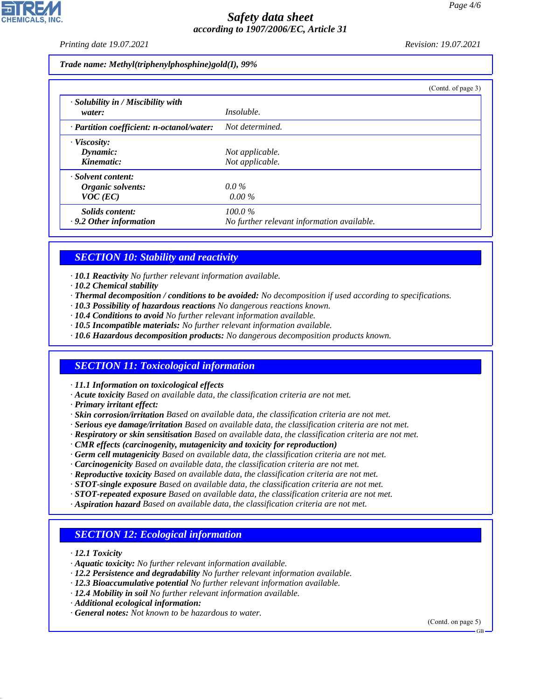*Printing date 19.07.2021 Revision: 19.07.2021*

*Trade name: Methyl(triphenylphosphine)gold(I), 99%*

|                                                       |                                                         | (Contd. of page 3) |
|-------------------------------------------------------|---------------------------------------------------------|--------------------|
| · Solubility in / Miscibility with<br>water:          | <i>Insoluble.</i>                                       |                    |
| $\cdot$ Partition coefficient: n-octanol/water:       | Not determined.                                         |                    |
| · Viscosity:<br>Dynamic:<br>Kinematic:                | Not applicable.<br>Not applicable.                      |                    |
| · Solvent content:<br>Organic solvents:<br>$VOC$ (EC) | $0.0\%$<br>$0.00\%$                                     |                    |
| Solids content:<br>$\cdot$ 9.2 Other information      | $100.0\%$<br>No further relevant information available. |                    |

### *SECTION 10: Stability and reactivity*

*· 10.1 Reactivity No further relevant information available.*

- *· 10.2 Chemical stability*
- *· Thermal decomposition / conditions to be avoided: No decomposition if used according to specifications.*
- *· 10.3 Possibility of hazardous reactions No dangerous reactions known.*
- *· 10.4 Conditions to avoid No further relevant information available.*
- *· 10.5 Incompatible materials: No further relevant information available.*
- *· 10.6 Hazardous decomposition products: No dangerous decomposition products known.*

#### *SECTION 11: Toxicological information*

*· 11.1 Information on toxicological effects*

- *· Acute toxicity Based on available data, the classification criteria are not met.*
- *· Primary irritant effect:*
- *· Skin corrosion/irritation Based on available data, the classification criteria are not met.*
- *· Serious eye damage/irritation Based on available data, the classification criteria are not met.*
- *· Respiratory or skin sensitisation Based on available data, the classification criteria are not met.*
- *· CMR effects (carcinogenity, mutagenicity and toxicity for reproduction)*
- *· Germ cell mutagenicity Based on available data, the classification criteria are not met.*
- *· Carcinogenicity Based on available data, the classification criteria are not met.*
- *· Reproductive toxicity Based on available data, the classification criteria are not met.*
- *· STOT-single exposure Based on available data, the classification criteria are not met.*
- *· STOT-repeated exposure Based on available data, the classification criteria are not met.*
- *· Aspiration hazard Based on available data, the classification criteria are not met.*

### *SECTION 12: Ecological information*

*· 12.1 Toxicity*

44.1.1

- *· Aquatic toxicity: No further relevant information available.*
- *· 12.2 Persistence and degradability No further relevant information available.*
- *· 12.3 Bioaccumulative potential No further relevant information available.*
- *· 12.4 Mobility in soil No further relevant information available.*
- *· Additional ecological information:*
- *· General notes: Not known to be hazardous to water.*

(Contd. on page 5)

GB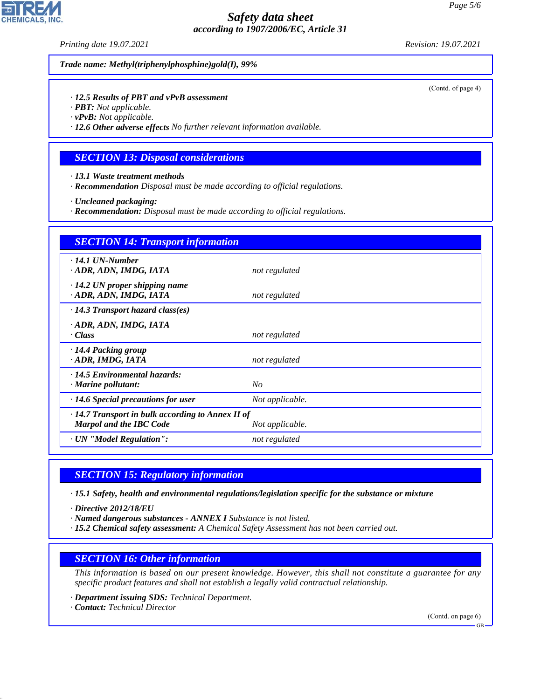*Printing date 19.07.2021 Revision: 19.07.2021*

*Trade name: Methyl(triphenylphosphine)gold(I), 99%*

*· 12.5 Results of PBT and vPvB assessment*

- *· PBT: Not applicable.*
- *· vPvB: Not applicable.*

*· 12.6 Other adverse effects No further relevant information available.*

### *SECTION 13: Disposal considerations*

*· 13.1 Waste treatment methods*

*· Recommendation Disposal must be made according to official regulations.*

*· Uncleaned packaging:*

*· Recommendation: Disposal must be made according to official regulations.*

| <b>SECTION 14: Transport information</b>                                                  |                 |  |  |
|-------------------------------------------------------------------------------------------|-----------------|--|--|
| $\cdot$ 14.1 UN-Number<br>· ADR, ADN, IMDG, IATA                                          | not regulated   |  |  |
| $\cdot$ 14.2 UN proper shipping name<br>· ADR, ADN, IMDG, IATA                            | not regulated   |  |  |
| $\cdot$ 14.3 Transport hazard class(es)                                                   |                 |  |  |
| · ADR, ADN, IMDG, IATA<br>· Class                                                         | not regulated   |  |  |
| $\cdot$ 14.4 Packing group<br>· ADR, IMDG, IATA                                           | not regulated   |  |  |
| · 14.5 Environmental hazards:<br>· Marine pollutant:                                      | N <sub>O</sub>  |  |  |
| $\cdot$ 14.6 Special precautions for user                                                 | Not applicable. |  |  |
| $\cdot$ 14.7 Transport in bulk according to Annex II of<br><b>Marpol and the IBC Code</b> | Not applicable. |  |  |
| · UN "Model Regulation":                                                                  | not regulated   |  |  |

#### *SECTION 15: Regulatory information*

*· 15.1 Safety, health and environmental regulations/legislation specific for the substance or mixture*

*· Directive 2012/18/EU*

- *· Named dangerous substances ANNEX I Substance is not listed.*
- *· 15.2 Chemical safety assessment: A Chemical Safety Assessment has not been carried out.*

### *SECTION 16: Other information*

*This information is based on our present knowledge. However, this shall not constitute a guarantee for any specific product features and shall not establish a legally valid contractual relationship.*

*· Department issuing SDS: Technical Department.*

*· Contact: Technical Director*

44.1.1

(Contd. on page 6)

(Contd. of page 4)

GB